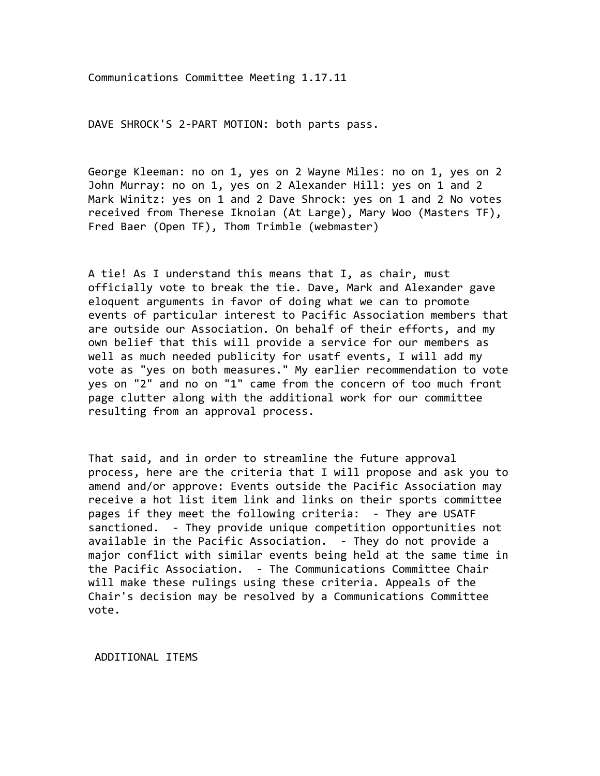Communications+Committee+Meeting+1.17.11

DAVE SHROCK'S 2-PART MOTION: both parts pass.

George Kleeman: no on 1, yes on 2 Wayne Miles: no on 1, yes on 2 John Murray: no on 1, yes on 2 Alexander Hill: yes on 1 and 2 Mark Winitz: yes on 1 and 2 Dave Shrock: yes on 1 and 2 No votes received from Therese Iknoian (At Large), Mary Woo (Masters TF), Fred Baer (Open TF), Thom Trimble (webmaster)

A tie! As I understand this means that I, as chair, must officially vote to break the tie. Dave, Mark and Alexander gave eloquent arguments in favor of doing what we can to promote events of particular interest to Pacific Association members that are outside our Association. On behalf of their efforts, and my own belief that this will provide a service for our members as well as much needed publicity for usatf events, I will add my vote as "yes on both measures." My earlier recommendation to vote yes on "2" and no on "1" came from the concern of too much front page clutter along with the additional work for our committee resulting from an approval process.

That said, and in order to streamline the future approval process, here are the criteria that I will propose and ask you to amend and/or approve: Events outside the Pacific Association may receive a hot list item link and links on their sports committee pages if they meet the following criteria: - They are USATF sanctioned. - They provide unique competition opportunities not available in the Pacific Association. - They do not provide a major conflict with similar events being held at the same time in the Pacific Association. - The Communications Committee Chair will make these rulings using these criteria. Appeals of the Chair's decision may be resolved by a Communications Committee vote.

ADDITIONAL ITEMS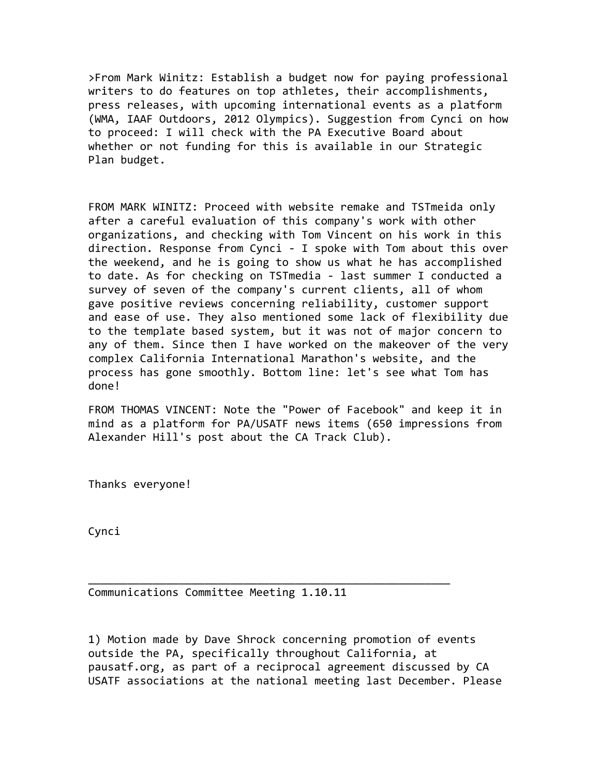>From Mark Winitz: Establish a budget now for paying professional writers to do features on top athletes, their accomplishments, press releases, with upcoming international events as a platform (WMA, IAAF Outdoors, 2012 Olympics). Suggestion from Cynci on how to proceed: I will check with the PA Executive Board about whether or not funding for this is available in our Strategic Plan budget.

FROM MARK WINITZ: Proceed with website remake and TSTmeida only after a careful evaluation of this company's work with other organizations, and checking with Tom Vincent on his work in this direction. Response from Cynci - I spoke with Tom about this over the weekend, and he is going to show us what he has accomplished to date. As for checking on TSTmedia - last summer I conducted a survey of seven of the company's current clients, all of whom gave positive reviews concerning reliability, customer support and ease of use. They also mentioned some lack of flexibility due to the template based system, but it was not of major concern to any of them. Since then I have worked on the makeover of the very complex California International Marathon's website, and the process has gone smoothly. Bottom line: let's see what Tom has done!

FROM THOMAS VINCENT: Note the "Power of Facebook" and keep it in mind as a platform for PA/USATF news items (650 impressions from Alexander Hill's post about the CA Track Club).

Thanks everyone!

Cynci

Communications+Committee+Meeting+1.10.11

1) Motion made by Dave Shrock concerning promotion of events outside the PA, specifically throughout California, at pausatf.org, as part of a reciprocal agreement discussed by CA USATF associations at the national meeting last December. Please

\_\_\_\_\_\_\_\_\_\_\_\_\_\_\_\_\_\_\_\_\_\_\_\_\_\_\_\_\_\_\_\_\_\_\_\_\_\_\_\_\_\_\_\_\_\_\_\_\_\_\_\_\_\_\_\_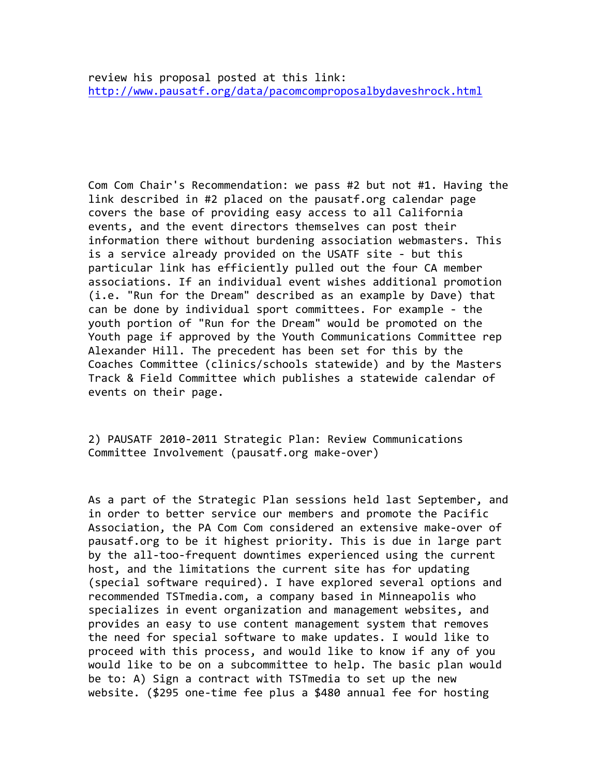Com Com Chair's Recommendation: we pass #2 but not #1. Having the link described in #2 placed on the pausatf.org calendar page covers the base of providing easy access to all California events, and the event directors themselves can post their information there without burdening association webmasters. This is a service already provided on the USATF site - but this particular link has efficiently pulled out the four CA member associations. If an individual event wishes additional promotion  $(i.e.$  "Run for the Dream" described as an example by Dave) that can be done by individual sport committees. For example - the youth portion of "Run for the Dream" would be promoted on the Youth page if approved by the Youth Communications Committee rep Alexander Hill. The precedent has been set for this by the Coaches Committee (clinics/schools statewide) and by the Masters Track & Field Committee which publishes a statewide calendar of events on their page.

2) PAUSATF 2010-2011 Strategic Plan: Review Communications Committee Involvement (pausatf.org make-over)

As a part of the Strategic Plan sessions held last September, and in order to better service our members and promote the Pacific Association, the PA Com Com considered an extensive make-over of pausatf.org to be it highest priority. This is due in large part by the all-too-frequent downtimes experienced using the current host, and the limitations the current site has for updating (special software required). I have explored several options and recommended TSTmedia.com, a company based in Minneapolis who specializes in event organization and management websites, and provides an easy to use content management system that removes the need for special software to make updates. I would like to proceed with this process, and would like to know if any of you would like to be on a subcommittee to help. The basic plan would be to: A) Sign a contract with TSTmedia to set up the new website. (\$295 one-time fee plus a \$480 annual fee for hosting